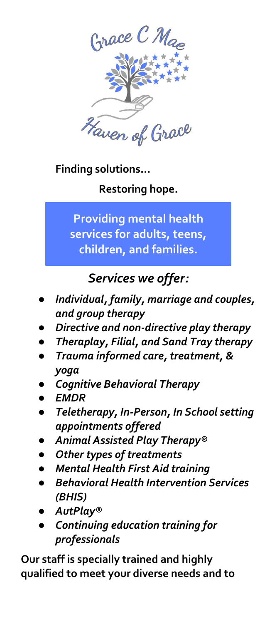

**Finding solutions…**

**Restoring hope.**

**Providing mental health services for adults, teens, children, and families.**

## *Services we offer:*

- *Individual, family, marriage and couples, and group therapy*
- *Directive and non-directive play therapy*
- *Theraplay, Filial, and Sand Tray therapy*
- *Trauma informed care, treatment, & yoga*
- **Cognitive Behavioral Therapy**
- *EMDR*
- *Teletherapy, In-Person, In School setting appointments offered*
- *Animal Assisted Play Therapy®*
- **Other types of treatments**
- *Mental Health First Aid training*
- **Behavioral Health Intervention Services** *(BHIS)*
- *AutPlay®*
- *Continuing education training for professionals*

**Our staff is specially trained and highly qualified to meet your diverse needs and to**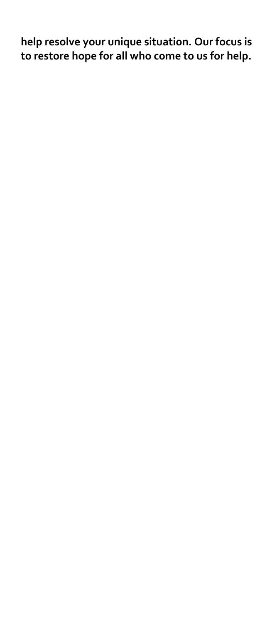**help resolve your unique situation. Our focus is to restore hope for all who come to us for help.**